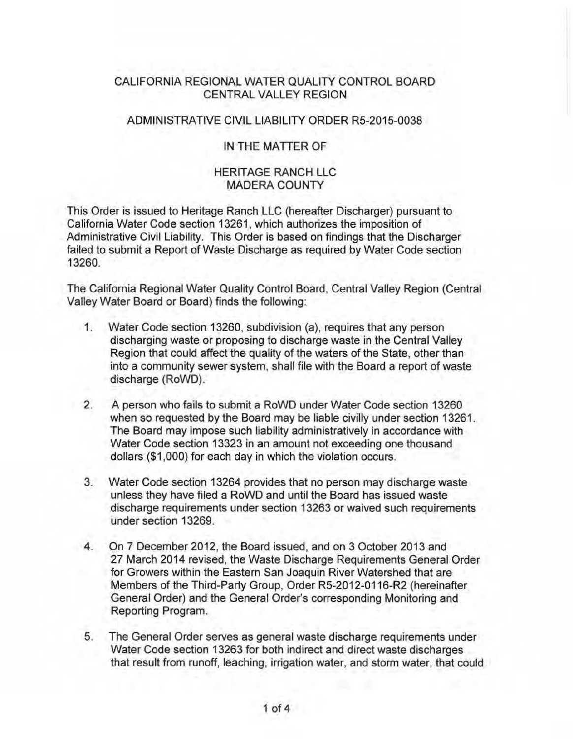## CALIFORNIA REGIONAL WATER QUALITY CONTROL BOARD CENTRAL VALLEY REGION

#### ADMINISTRATIVE CIVlL LIABILITY ORDER R5-2015-0038

### IN THE MATTER OF

#### HERITAGE RANCH LLC MADERA COUNTY

This Order is issued to Heritage Ranch LLC (hereafter Discharger) pursuant to California Water Code section 13261, which authorizes the imposition of Administrative Civil Liability. This Order is based on findings that the Discharger failed to submit a Report of Waste Discharge as required by Water Code section 13260.

The California Regional Water Quality Control Board, Central Valley Region (Central Valley Water Board or Board) finds the following:

- 1. Water Code section 13260, subdivision (a), requires that any person discharging waste or proposing to discharge waste in the Central Valley Region that could affect the quality of the waters of the State, other than into a community sewer system, shall file with the Board a report of waste discharge (RoWD).
- 2. A person who fails to submit a RoWD under Water Code section 13260 when so requested by the Board may be liable civilly under section 13261. The Board may impose such liability administratively in accordance with Water Code section 13323 in an amount not exceeding one thousand dollars (\$1 ,000) for each day in which the violation occurs.
- 3. Water Code section 13264 provides that no person may discharge waste unless they have filed a RoWD and until the Board has issued waste discharge requirements under section 13263 or waived such requirements under section 13269.
- 4. On 7 December 2012, the Board issued, and on 3 October 2013 and 27 March 2014 revised, the Waste Discharge Requirements General Order for Growers within the Eastern San Joaquin River Watershed that are Members of the Third-Party Group, Order R5-2012-0116-R2 (hereinafter General Order) and the General Order's corresponding Monitoring and Reporting Program.
- 5. The General Order serves as general waste discharge requirements under Water Code section 13263 for both indirect and direct waste discharges that result from runoff, leaching, irrigation water, and storm water, that could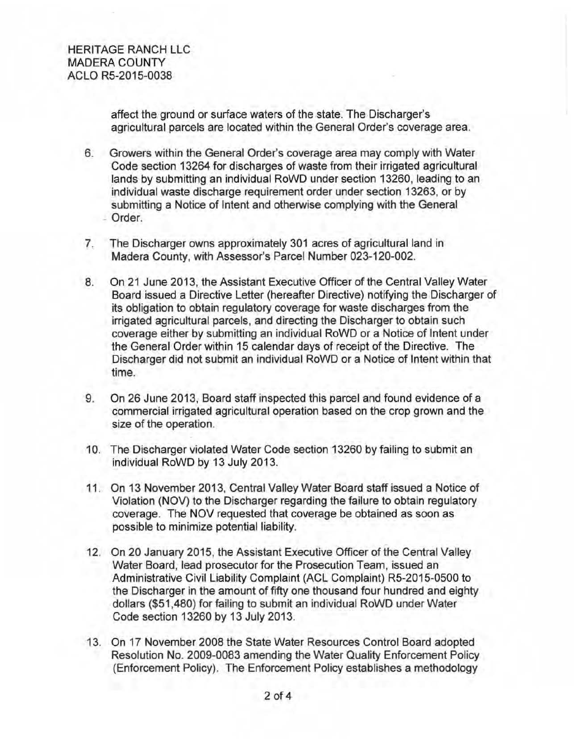affect the ground or surface waters of the state. The Discharger's agricultural parcels are located within the General Order's coverage area.

- 6. Growers within the General Order's coverage area may comply with Water Code section 13264 for discharges of waste from their irrigated agricultural lands by submitting an individual RoWD under section 13260, leading to an individual waste discharge requirement order under section 13263, or by submitting a Notice of Intent and otherwise complying with the General - Order.
- 7. The Discharger owns approximately 301 acres of agricultural land in Madera County, with Assessor's Parcel Number 023-120-002.
- 8. On 21 June 2013, the Assistant Executive Officer of the Central Valley Water Board issued a Directive Letter (hereafter Directive) notifying the Discharger of its obligation to obtain regulatory coverage for waste discharges from the irrigated agricultural parcels, and directing the Discharger to obtain such coverage either by submitting an individual RoWD or a Notice of Intent under the General Order within 15 calendar days of receipt of the Directive. The Discharger did not submit an individual RoWD or a Notice of Intent within that time.
- 9. On 26 June 2013, Board staff inspected this parcel and found evidence of a commercial irrigated agricultural operation based on the crop grown and the size of the operation.
- 10. The Discharger violated Water Code section 13260 by failing to submit an individual RoWD by 13 July 2013.
- 11 . On 13 November 2013, Central Valley Water Board staff issued a Notice of Violation (NOV) to the Discharger regarding the failure to obtain regulatory coverage. The NOV requested that coverage be obtained as soon as possible to minimize potential liability.
- 12. On 20 January 2015, the Assistant Executive Officer of the Central Valley Water Board, lead prosecutor for the Prosecution Team, issued an Administrative Civil Liability Complaint (ACL Complaint) RS-2015-0500 to the Discharger in the amount of fifty one thousand four hundred and eighty dollars (\$51 ,480) for failing to submit an individual RoWD under Water Code section 13260 by 13 July 2013.
- 13. On 17 November 2008 the State Water Resources Control Board adopted Resolution No. 2009-0083 amending the Water Quality Enforcement Policy (Enforcement Policy). The Enforcement Policy establishes a methodology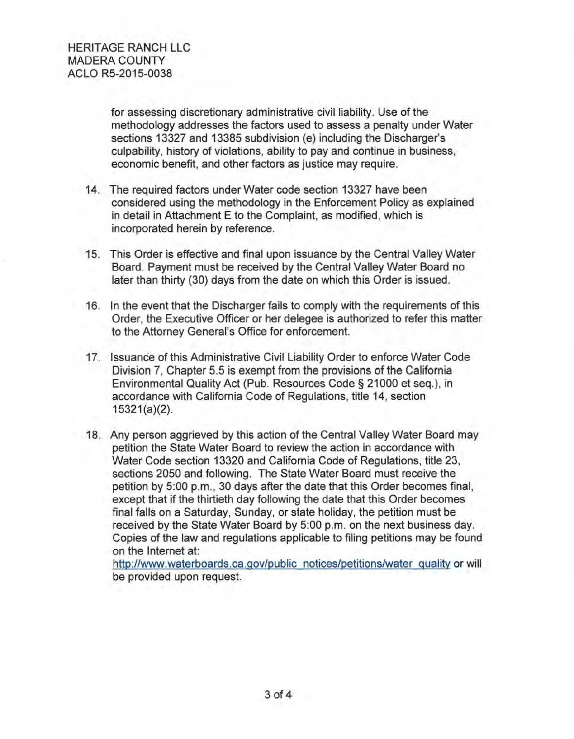for assessing discretionary administrative civil liability. Use of the methodology addresses the factors used to assess a penalty under Water sections 13327 and 13385 subdivision (e) including the Discharger's culpability, history of violations, ability to pay and continue in business, economic benefit, and other factors as justice may require.

- 14. The required factors under Water code section 13327 have been considered using the methodology in the Enforcement Policy as explained in detail in Attachment E to the Complaint, as modified, which is incorporated herein by reference.
- 15. This Order is effective and final upon issuance by the Central Valley Water Board. Payment must be received by the Central Valley Water Board no later than thirty (30) days from the date on which this Order is issued.
- 16. In the event that the Discharger fails to comply with the requirements of this Order, the Executive Officer or her delegee is authorized to refer this matter to the Attorney General's Office for enforcement.
- 17. Issuance of this Administrative Civil Liability Order to enforce Water Code Division 7, Chapter 5.5 is exempt from the provisions of the California Environmental Quality Act (Pub. Resources Code§ 21000 et seq.), in accordance with California Code of Regulations, title 14, section  $15321(a)(2)$ .
- 18. Any person aggrieved by this action of the Central Valley Water Board may petition the State Water Board to review the action in accordance with Water Code section 13320 and California Code of Regulations, title 23, sections 2050 and following. The State Water Board must receive the petition by 5:00 p.m., 30 days after the date that this Order becomes final, except that if the thirtieth day following the date that this Order becomes final falls on a Saturday, Sunday, or state holiday, the petition must be received by the State Water Board by 5:00 p.m. on the next business day. Copies of the law and regulations applicable to filing petitions may be found on the Internet at:

http://www.waterboards.ca.gov/public notices/petitions/water quality or will be provided upon request.